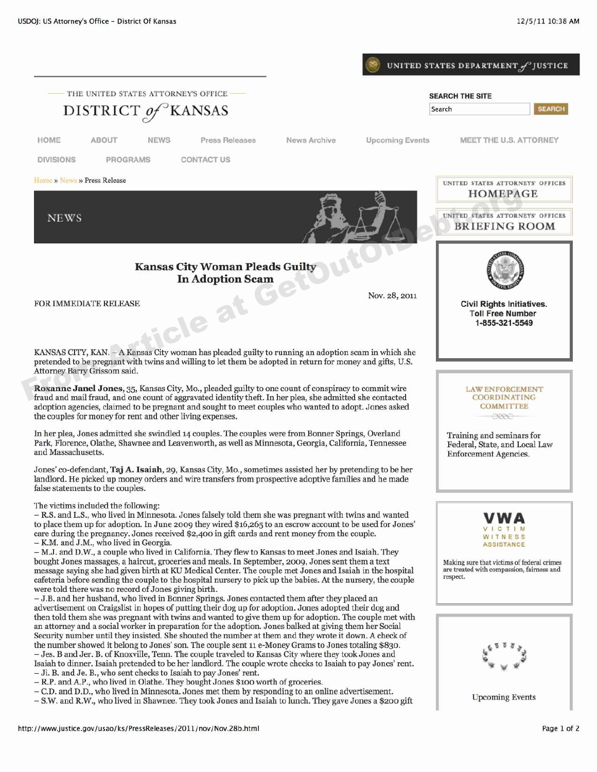